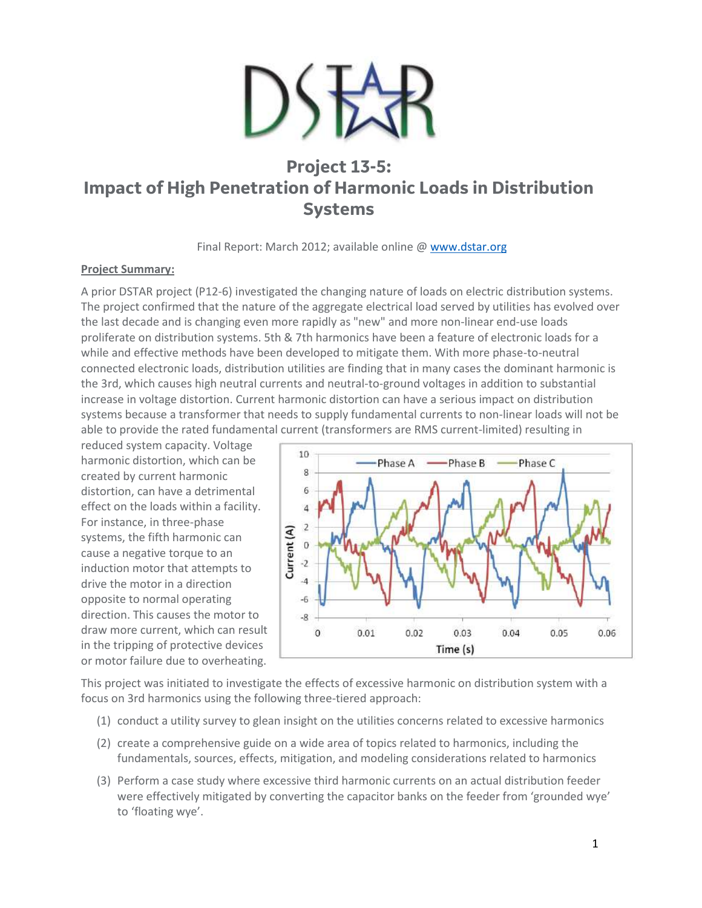

# **Project 13-5: Impact of High Penetration of Harmonic Loads in Distribution Systems**

Final Report: March 2012; available online [@ www.dstar.org](http://www.dstar.org/research/project/89/P13-5-harmonic-load-issues-impact-and-mitigation)

#### **Project Summary:**

A prior DSTAR project (P12-6) investigated the changing nature of loads on electric distribution systems. The project confirmed that the nature of the aggregate electrical load served by utilities has evolved over the last decade and is changing even more rapidly as "new" and more non-linear end-use loads proliferate on distribution systems. 5th & 7th harmonics have been a feature of electronic loads for a while and effective methods have been developed to mitigate them. With more phase-to-neutral connected electronic loads, distribution utilities are finding that in many cases the dominant harmonic is the 3rd, which causes high neutral currents and neutral-to-ground voltages in addition to substantial increase in voltage distortion. Current harmonic distortion can have a serious impact on distribution systems because a transformer that needs to supply fundamental currents to non-linear loads will not be able to provide the rated fundamental current (transformers are RMS current-limited) resulting in

reduced system capacity. Voltage harmonic distortion, which can be created by current harmonic distortion, can have a detrimental effect on the loads within a facility. For instance, in three-phase systems, the fifth harmonic can cause a negative torque to an induction motor that attempts to drive the motor in a direction opposite to normal operating direction. This causes the motor to draw more current, which can result in the tripping of protective devices or motor failure due to overheating.



This project was initiated to investigate the effects of excessive harmonic on distribution system with a focus on 3rd harmonics using the following three-tiered approach:

- (1) conduct a utility survey to glean insight on the utilities concerns related to excessive harmonics
- (2) create a comprehensive guide on a wide area of topics related to harmonics, including the fundamentals, sources, effects, mitigation, and modeling considerations related to harmonics
- (3) Perform a case study where excessive third harmonic currents on an actual distribution feeder were effectively mitigated by converting the capacitor banks on the feeder from 'grounded wye' to 'floating wye'.